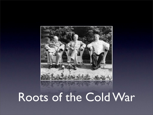

#### Roots of the Cold War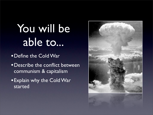## You will be able to...

•Define the Cold War

•Describe the conflict between communism & capitalism

•Explain why the Cold War started

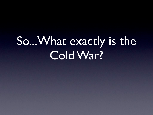## So...What exactly is the Cold War?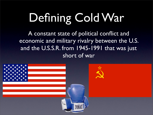# Defining Cold War

A constant state of political conflict and economic and military rivalry between the U.S. and the U.S.S.R. from 1945-1991 that was just short of war

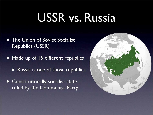### USSR vs. Russia

- **The Union of Soviet Socialist** Republics (USSR)
- Made up of 15 different republics
	- Russia is one of those republics
- Constitutionally socialist state ruled by the Communist Party

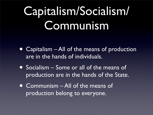## Capitalism/Socialism/ Communism

- Capitalism All of the means of production are in the hands of individuals.
- Socialism Some or all of the means of production are in the hands of the State.
- Communism All of the means of production belong to everyone.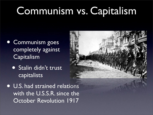#### Communism vs. Capitalism

- Communism goes completely against Capitalism
	- Stalin didn't trust capitalists
- U.S. had strained relations with the U.S.S.R. since the October Revolution 1917

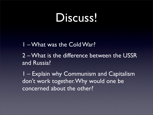#### Discuss!

1 – What was the Cold War?

2 – What is the difference between the USSR and Russia?

1 – Explain why Communism and Capitalism don't work together. Why would one be concerned about the other?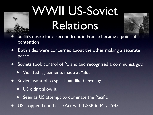# WWII US-Soviet Relations



- Stalin's desire for a second front in France became a point of contention
- Both sides were concerned about the other making a separate peace
- Soviets took control of Poland and recognized a communist gov.
	- Violated agreements made at Yalta
- Soviets wanted to split Japan like Germany
	- US didn't allow it
	- **Seen as US attempt to dominate the Pacific**
- US stopped Lend-Lease Act with USSR in May 1945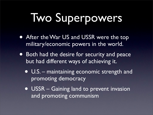# Two Superpowers

- After the War US and USSR were the top military/economic powers in the world.
- Both had the desire for security and peace but had different ways of achieving it.
	- U.S. maintaining economic strength and promoting democracy
	- USSR Gaining land to prevent invasion and promoting communism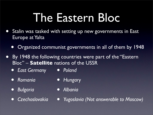## The Eastern Bloc

- Stalin was tasked with setting up new governments in East Europe at Yalta
	- Organized communist governments in all of them by 1948
- By 1948 the following countries were part of the "Eastern Bloc" – **Satellite** nations of the USSR
	- *• East Germany • Poland*
	- *• Romania*
- *• Hungary*
- *• Bulgaria*
- *• Albania*
- *• Czechoslovakia*
- *• Yugoslavia (Not answerable to Moscow)*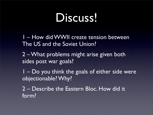#### Discuss!

1 – How did WWII create tension between The US and the Soviet Union?

2 – What problems might arise given both sides post war goals?

1 – Do you think the goals of either side were objectionable? Why?

2 – Describe the Eastern Bloc. How did it form?